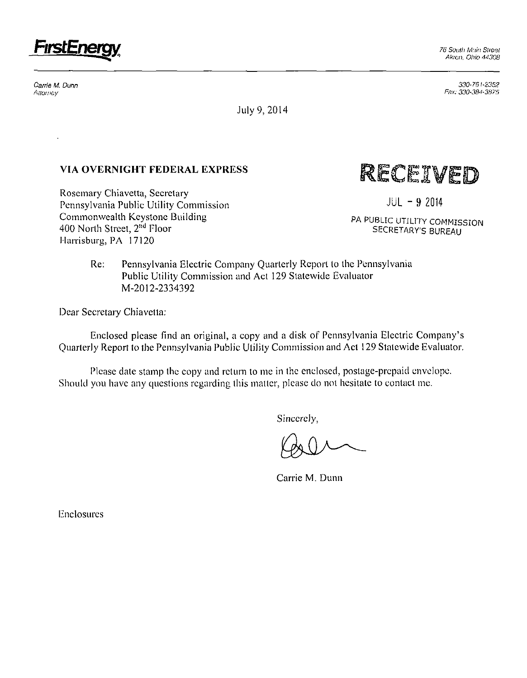

Carrie M. Dunn Attorney

*330-76 U23Sa Fax: 330-384-3875* 

July 9, 2014

## **VIA OVERNIGHT FEDERAL EXPRESS**

Rosemary Chiavetta, Secretary Pennsylvania Public Utility Commission Commonwealth Keystone Building 400 North Street, 2<sup>nd</sup> Floor Harrisburg, PA 17120

RECEIVED

**JUL - 9 2014** 

**PA PUBLIC UTILITY COMMISSION SECRETARY'S BUREAU** 

Re: Pennsylvania Electric Company Quarterly Report lo the Pennsylvania Public Utility Commission and Act 129 Statewide Evaluator M-2012-2334392

Dear Secretary Chiavetta:

Enclosed please Find an original, a copy and a disk of Pennsylvania Electric Company's Quarterly Report to the Pennsylvania Public Utility Commission and Act 129 Statewide Evaluator.

Please date stamp the copy and return to me in the enclosed, postage-prepaid envelope. Should you have any questions regarding this matter, please do not hesitate to contact me.

Sincerely,

Carrie M. Dunn

Enclosures